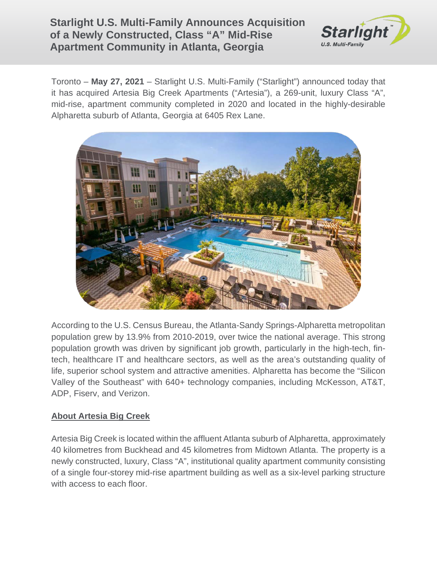## **Starlight U.S. Multi-Family Announces Acquisition of a Newly Constructed, Class "A" Mid-Rise Apartment Community in Atlanta, Georgia**



Toronto – **May 27, 2021** – Starlight U.S. Multi-Family ("Starlight") announced today that it has acquired Artesia Big Creek Apartments ("Artesia"), a 269-unit, luxury Class "A", mid-rise, apartment community completed in 2020 and located in the highly-desirable Alpharetta suburb of Atlanta, Georgia at 6405 Rex Lane.



According to the U.S. Census Bureau, the Atlanta-Sandy Springs-Alpharetta metropolitan population grew by 13.9% from 2010-2019, over twice the national average. This strong population growth was driven by significant job growth, particularly in the high-tech, fintech, healthcare IT and healthcare sectors, as well as the area's outstanding quality of life, superior school system and attractive amenities. Alpharetta has become the "Silicon Valley of the Southeast" with 640+ technology companies, including McKesson, AT&T, ADP, Fiserv, and Verizon.

## **About Artesia Big Creek**

Artesia Big Creek is located within the affluent Atlanta suburb of Alpharetta, approximately 40 kilometres from Buckhead and 45 kilometres from Midtown Atlanta. The property is a newly constructed, luxury, Class "A", institutional quality apartment community consisting of a single four-storey mid-rise apartment building as well as a six-level parking structure with access to each floor.